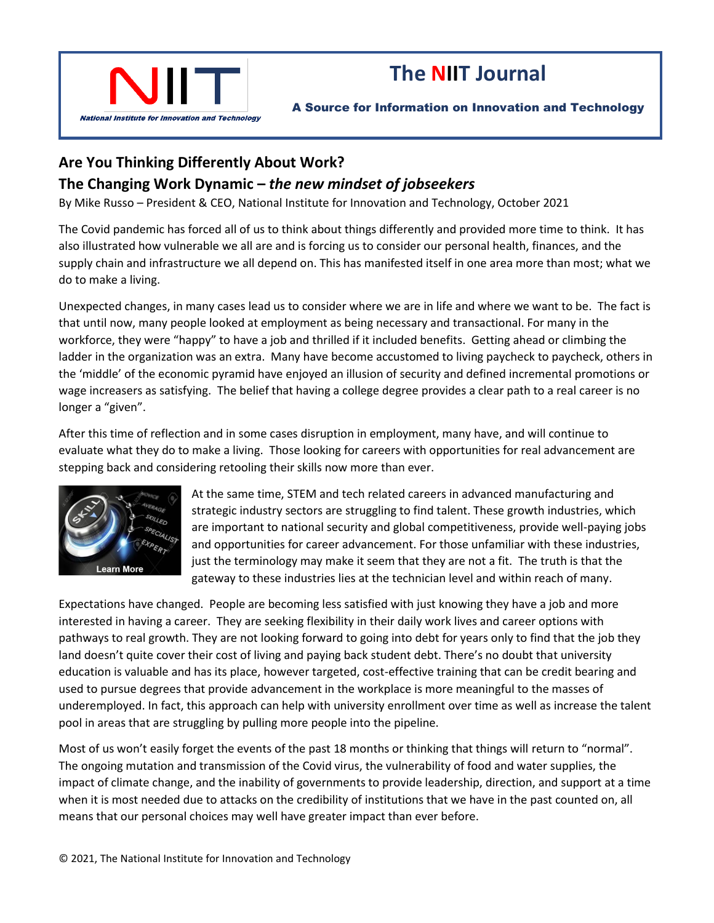

## **The NIIT Journal**

A Source for Information on Innovation and Technology

## **Are You Thinking Differently About Work?**

## **The Changing Work Dynamic –** *the new mindset of jobseekers*

By Mike Russo – President & CEO, National Institute for Innovation and Technology, October 2021

The Covid pandemic has forced all of us to think about things differently and provided more time to think. It has also illustrated how vulnerable we all are and is forcing us to consider our personal health, finances, and the supply chain and infrastructure we all depend on. This has manifested itself in one area more than most; what we do to make a living.

Unexpected changes, in many cases lead us to consider where we are in life and where we want to be. The fact is that until now, many people looked at employment as being necessary and transactional. For many in the workforce, they were "happy" to have a job and thrilled if it included benefits. Getting ahead or climbing the ladder in the organization was an extra. Many have become accustomed to living paycheck to paycheck, others in the 'middle' of the economic pyramid have enjoyed an illusion of security and defined incremental promotions or wage increasers as satisfying. The belief that having a college degree provides a clear path to a real career is no longer a "given".

After this time of reflection and in some cases disruption in employment, many have, and will continue to evaluate what they do to make a living. Those looking for careers with opportunities for real advancement are stepping back and considering retooling their skills now more than ever.



At the same time, STEM and tech related careers in advanced manufacturing and strategic industry sectors are struggling to find talent. These growth industries, which are important to national security and global competitiveness, provide well-paying jobs and opportunities for career advancement. For those unfamiliar with these industries, just the terminology may make it seem that they are not a fit. The truth is that the gateway to these industries lies at the technician level and within reach of many.

Expectations have changed. People are becoming less satisfied with just knowing they have a job and more interested in having a career. They are seeking flexibility in their daily work lives and career options with pathways to real growth. They are not looking forward to going into debt for years only to find that the job they land doesn't quite cover their cost of living and paying back student debt. There's no doubt that university education is valuable and has its place, however targeted, cost-effective training that can be credit bearing and used to pursue degrees that provide advancement in the workplace is more meaningful to the masses of underemployed. In fact, this approach can help with university enrollment over time as well as increase the talent pool in areas that are struggling by pulling more people into the pipeline.

Most of us won't easily forget the events of the past 18 months or thinking that things will return to "normal". The ongoing mutation and transmission of the Covid virus, the vulnerability of food and water supplies, the impact of climate change, and the inability of governments to provide leadership, direction, and support at a time when it is most needed due to attacks on the credibility of institutions that we have in the past counted on, all means that our personal choices may well have greater impact than ever before.